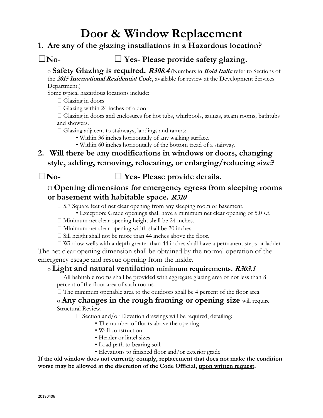# **Door & Window Replacement**

### **1. Are any of the glazing installations in a Hazardous location?**

## **□No- □ Yes- Please provide safety glazing.**

o **Safety Glazing is required. R308.4** (Numbers in **Bold Italic** refer to Sections of the **<sup>2015</sup> International Residential Code**, available for review at the Development Services Department.)

Some typical hazardous locations include:

 $\Box$  Glazing in doors.

 $\Box$  Glazing within 24 inches of a door.

 Glazing in doors and enclosures for hot tubs, whirlpools, saunas, steam rooms, bathtubs and showers.

 $\Box$  Glazing adjacent to stairways, landings and ramps:

- Within 36 inches horizontally of any walking surface.
- Within 60 inches horizontally of the bottom tread of a stairway.
- **2. Will there be any modifications in windows or doors, changing style, adding, removing, relocating, or enlarging/reducing size?**

**□No- □ Yes- Please provide details.**

## O **Opening dimensions for emergency egress from sleeping rooms or basement with habitable space. R310**

□ 5.7 Square feet of net clear opening from any sleeping room or basement.

• Exception: Grade openings shall have a minimum net clear opening of 5.0 s.f.

- $\Box$  Minimum net clear opening height shall be 24 inches.
- $\Box$  Minimum net clear opening width shall be 20 inches.
- $\square$  Sill height shall not be more than 44 inches above the floor.

 Window wells with a depth greater than 44 inches shall have a permanent steps or ladder The net clear opening dimension shall be obtained by the normal operation of the emergency escape and rescue opening from the inside.

### o **Light and natural ventilation minimum requirements. R303.1**

 $\Box$  All habitable rooms shall be provided with aggregate glazing area of not less than 8 percent of the floor area of such rooms.

 $\Box$  The minimum openable area to the outdoors shall be 4 percent of the floor area.

#### o **Any changes in the rough framing or opening size** will require Structural Review.

 $\square$  Section and/or Elevation drawings will be required, detailing:

- The number of floors above the opening
- Wall construction
- Header or lintel sizes
- Load path to bearing soil.
- Elevations to finished floor and/or exterior grade

**If the old window does not currently comply, replacement that does not make the condition worse may be allowed at the discretion of the Code Official, upon written request.**